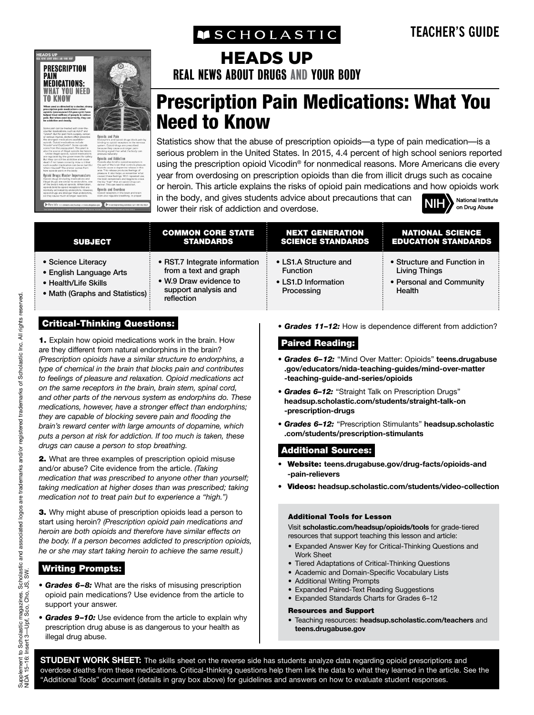**MSCHOLASTIC** 



# HEADS UP

REAL NEWS ABOUT DRUGS AND YOUR BODY

# Prescription Pain Medications: What You Need to Know

Statistics show that the abuse of prescription opioids—a type of pain medication—is a serious problem in the United States. In 2015, 4.4 percent of high school seniors reported using the prescription opioid Vicodin® for nonmedical reasons. More Americans die every year from overdosing on prescription opioids than die from illicit drugs such as cocaine or heroin. This article explains the risks of opioid pain medications and how opioids work

in the body, and gives students advice about precautions that can lower their risk of addiction and overdose.

| National Institute |
|--------------------|
| on Drug Abuse      |

| <b>SUBJECT</b>                                                                                           | <b>COMMON CORE STATE</b><br><b>STANDARDS</b>                                                                           | <b>NEXT GENERATION</b><br><b>SCIENCE STANDARDS</b>                            | <b>NATIONAL SCIENCE</b><br><b>EDUCATION STANDARDS</b>                              |
|----------------------------------------------------------------------------------------------------------|------------------------------------------------------------------------------------------------------------------------|-------------------------------------------------------------------------------|------------------------------------------------------------------------------------|
| • Science Literacy<br>• English Language Arts<br>• Health/Life Skills<br>• Math (Graphs and Statistics): | • RST.7 Integrate information<br>from a text and graph<br>• W.9 Draw evidence to<br>support analysis and<br>reflection | • LS1.A Structure and<br><b>Function</b><br>• LS1.D Information<br>Processing | • Structure and Function in<br>Living Things<br>• Personal and Community<br>Health |
|                                                                                                          |                                                                                                                        |                                                                               |                                                                                    |

# Critical-Thinking Questions:

1. Explain how opioid medications work in the brain. How are they different from natural endorphins in the brain? *(Prescription opioids have a similar structure to endorphins, a type of chemical in the brain that blocks pain and contributes to feelings of pleasure and relaxation. Opioid medications act on the same receptors in the brain, brain stem, spinal cord, and other parts of the nervous system as endorphins do. These medications, however, have a stronger effect than endorphins; they are capable of blocking severe pain and flooding the brain's reward center with large amounts of dopamine, which puts a person at risk for addiction. If too much is taken, these drugs can cause a person to stop breathing.*

2. What are three examples of prescription opioid misuse and/or abuse? Cite evidence from the article. *(Taking medication that was prescribed to anyone other than yourself; taking medication at higher doses than was prescribed; taking medication not to treat pain but to experience a "high.")*

**3.** Why might abuse of prescription opioids lead a person to start using heroin? *(Prescription opioid pain medications and heroin are both opioids and therefore have similar effects on the body. If a person becomes addicted to prescription opioids, he or she may start taking heroin to achieve the same result.)*

# Writing Prompts:

- *Grades 6–8:* What are the risks of misusing prescription opioid pain medications? Use evidence from the article to support your answer.
- *Grades 9–10:* Use evidence from the article to explain why prescription drug abuse is as dangerous to your health as illegal drug abuse.

*• Grades 11–12:* How is dependence different from addiction?

### Paired Reading:

- *Grades 6–12:* "Mind Over Matter: Opioids" **teens.drugabuse .gov/educators/nida-teaching-guides/mind-over-matter -teaching-guide-and-series/opioids**
- *Grades 6–12:* "Straight Talk on Prescription Drugs" **headsup.scholastic.com/students/straight-talk-on -prescription-drugs**
- *Grades 6–12:* "Prescription Stimulants" **headsup.scholastic .com/students/prescription-stimulants**

## Additional Sources:

- Website: **teens.drugabuse.gov/drug-facts/opioids-and -pain-relievers**
- Videos: **headsup.scholastic.com/students/video-collection**

#### Additional Tools for Lesson

Visit **scholastic.com/headsup/opioids/tools** for grade-tiered resources that support teaching this lesson and article:

- Expanded Answer Key for Critical-Thinking Questions and Work Sheet
- Tiered Adaptations of Critical-Thinking Questions
- Academic and Domain-Specific Vocabulary Lists
- Additional Writing Prompts
- Expanded Paired-Text Reading Suggestions
- Expanded Standards Charts for Grades 6–12

#### Resources and Support

• Teaching resources: **headsup.scholastic.com/teachers** and **teens.drugabuse.gov**

**STUDENT WORK SHEET:** The skills sheet on the reverse side has students analyze data regarding opioid prescriptions and overdose deaths from these medications. Critical-thinking questions help them link the data to what they learned in the article. See the "Additional Tools" document (details in gray box above) for guidelines and answers on how to evaluate student responses.